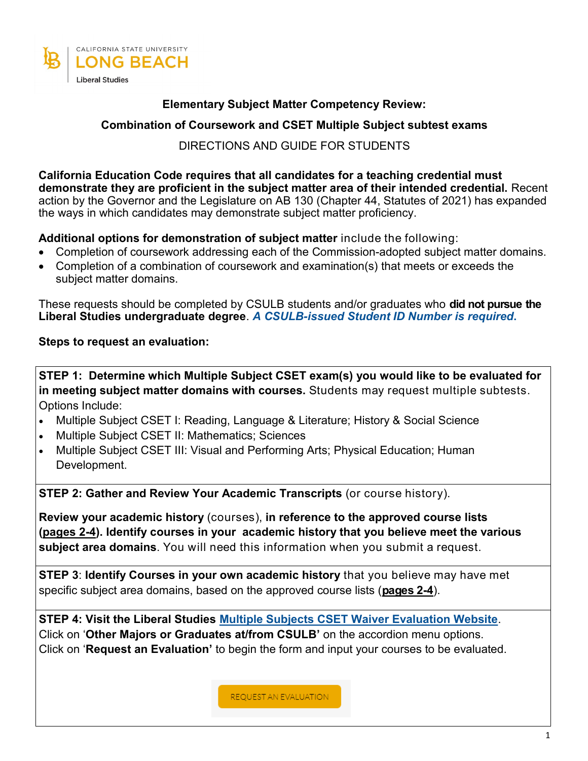

## **Elementary Subject Matter Competency Review:**

## **Combination of Coursework and CSET Multiple Subject subtest exams**

## DIRECTIONS AND GUIDE FOR STUDENTS

**California Education Code requires that all candidates for a teaching credential must demonstrate they are proficient in the subject matter area of their intended credential.** Recent action by the Governor and the Legislature on AB 130 (Chapter 44, Statutes of 2021) has expanded the ways in which candidates may demonstrate subject matter proficiency.

## **Additional options for demonstration of subject matter** include the following:

- Completion of coursework addressing each of the Commission-adopted subject matter domains.
- Completion of a combination of coursework and examination(s) that meets or exceeds the subject matter domains.

These requests should be completed by CSULB students and/or graduates who **did not pursue the Liberal Studies undergraduate degree**. *A CSULB-issued Student ID Number is required***.**

## **Steps to request an evaluation:**

**STEP 1: Determine which Multiple Subject CSET exam(s) you would like to be evaluated for in meeting subject matter domains with courses.** Students may request multiple subtests. Options Include:

- Multiple Subject CSET I: Reading, Language & Literature; History & Social Science
- Multiple Subject CSET II: Mathematics; Sciences
- Multiple Subject CSET III: Visual and Performing Arts; Physical Education; Human Development.

**STEP 2: Gather and Review Your Academic Transcripts** (or course history).

**Review your academic history** (courses), **in reference to the approved course lists (pages 2-4). Identify courses in your academic history that you believe meet the various subject area domains**. You will need this information when you submit a request.

**STEP 3**: **Identify Courses in your own academic history** that you believe may have met specific subject area domains, based on the approved course lists (**pages 2-4**).

**STEP 4: Visit the Liberal Studies [Multiple Subjects CSET Waiver Evaluation Website](https://www.csulb.edu/college-of-education/liberal-studies/multiple-subjects-cset-waiver-evaluations)**. Click on '**Other Majors or Graduates at/from CSULB'** on the accordion menu options. Click on '**Request an Evaluation'** to begin the form and input your courses to be evaluated.

**REQUEST AN EVALUATION**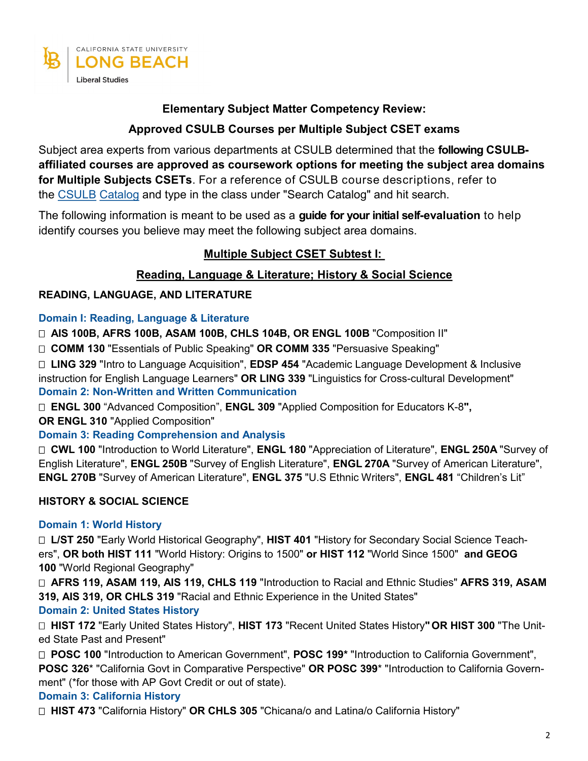

## **Elementary Subject Matter Competency Review:**

# **Approved CSULB Courses per Multiple Subject CSET exams**

Subject area experts from various departments at CSULB determined that the **following CSULBaffiliated courses are approved as coursework options for meeting the subject area domains for Multiple Subjects CSETs**. For a reference of CSULB course descriptions, refer to the [CSULB](http://catalog.csulb.edu/) [Catalog](http://catalog.csulb.edu/) and type in the class under "Search Catalog" and hit search.

The following information is meant to be used as a **guide for your initial self-evaluation** to help identify courses you believe may meet the following subject area domains.

# **Multiple Subject CSET Subtest I:**

## **Reading, Language & Literature; History & Social Science**

## **READING, LANGUAGE, AND LITERATURE**

### **Domain I: Reading, Language & Literature**

 **AIS 100B, AFRS 100B, ASAM 100B, CHLS 104B, OR ENGL 100B** "Composition II"

 **COMM 130** "Essentials of Public Speaking" **OR COMM 335** "Persuasive Speaking"

 **LING 329** "Intro to Language Acquisition", **EDSP 454** "Academic Language Development & Inclusive instruction for English Language Learners" **OR LING 339** "Linguistics for Cross-cultural Development" **Domain 2: Non-Written and Written Communication** 

 **ENGL 300** "Advanced Composition", **ENGL 309** "Applied Composition for Educators K-8**",**

**OR ENGL 310** "Applied Composition"

### **Domain 3: Reading Comprehension and Analysis**

 **CWL 100** "Introduction to World Literature", **ENGL 180** "Appreciation of Literature", **ENGL 250A** "Survey of English Literature", **ENGL 250B** "Survey of English Literature", **ENGL 270A** "Survey of American Literature", **ENGL 270B** "Survey of American Literature", **ENGL 375** "U.S Ethnic Writers", **ENGL 481** "Children's Lit"

## **HISTORY & SOCIAL SCIENCE**

## **Domain 1: World History**

 **L/ST 250** "Early World Historical Geography", **HIST 401** "History for Secondary Social Science Teachers", **OR both HIST 111** "World History: Origins to 1500" **or HIST 112** "World Since 1500" **and GEOG 100** "World Regional Geography"

 **AFRS 119, ASAM 119, AIS 119, CHLS 119** "Introduction to Racial and Ethnic Studies" **AFRS 319, ASAM 319, AIS 319, OR CHLS 319** "Racial and Ethnic Experience in the United States"

### **Domain 2: United States History**

 **HIST 172** "Early United States History", **HIST 173** "Recent United States History**" OR HIST 300** "The United State Past and Present"

 **POSC 100** "Introduction to American Government", **POSC 199\*** "Introduction to California Government", **POSC 326**\* "California Govt in Comparative Perspective" **OR POSC 399**\* "Introduction to California Government" (\*for those with AP Govt Credit or out of state).

## **Domain 3: California History**

 **HIST 473** "California History" **OR CHLS 305** "Chicana/o and Latina/o California History"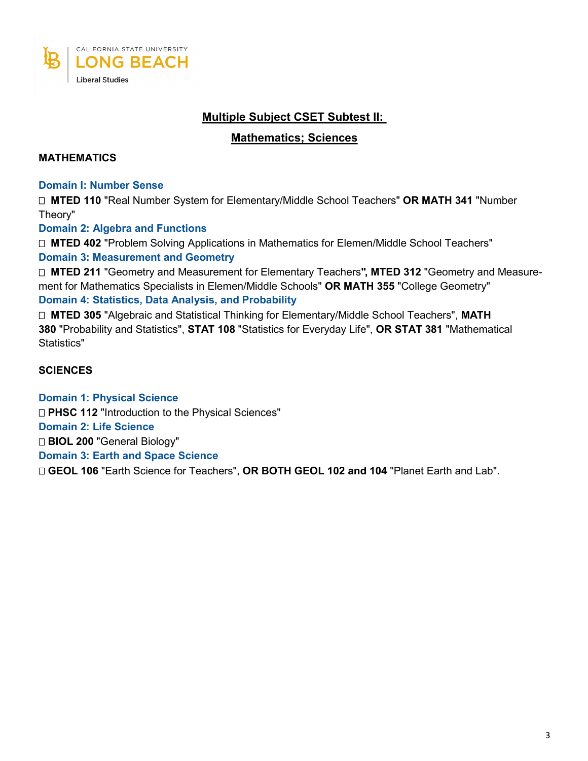

# **Multiple Subject CSET Subtest II:**

### **Mathematics; Sciences**

### **MATHEMATICS**

#### **Domain I: Number Sense**

 **MTED 110** "Real Number System for Elementary/Middle School Teachers" **OR MATH 341** "Number Theory"

### **Domain 2: Algebra and Functions**

 **MTED 402** "Problem Solving Applications in Mathematics for Elemen/Middle School Teachers" **Domain 3: Measurement and Geometry** 

 **MTED 211** "Geometry and Measurement for Elementary Teachers**", MTED 312** "Geometry and Measurement for Mathematics Specialists in Elemen/Middle Schools" **OR MATH 355** "College Geometry"

### **Domain 4: Statistics, Data Analysis, and Probability**

 **MTED 305** "Algebraic and Statistical Thinking for Elementary/Middle School Teachers", **MATH 380** "Probability and Statistics", **STAT 108** "Statistics for Everyday Life", **OR STAT 381** "Mathematical Statistics"

### **SCIENCES**

**Domain 1: Physical Science** □ PHSC 112 "Introduction to the Physical Sciences" **Domain 2: Life Science BIOL 200** "General Biology" **Domain 3: Earth and Space Science GEOL 106** "Earth Science for Teachers", **OR BOTH GEOL 102 and 104** "Planet Earth and Lab".